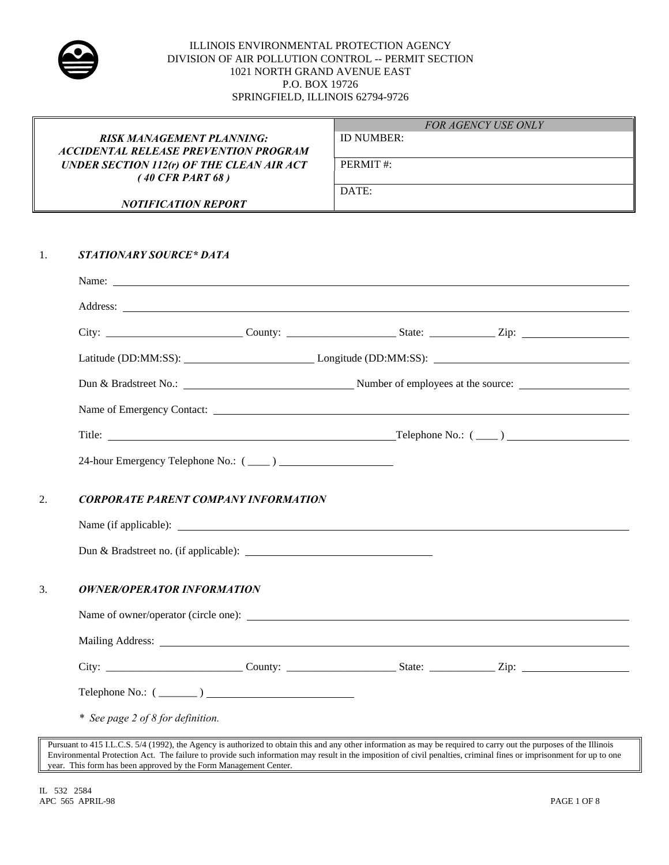

|    |                                                                                                                                                                                                                               | <b>FOR AGENCY USE ONLY</b>                                                                                                                                                                                                           |  |  |  |  |
|----|-------------------------------------------------------------------------------------------------------------------------------------------------------------------------------------------------------------------------------|--------------------------------------------------------------------------------------------------------------------------------------------------------------------------------------------------------------------------------------|--|--|--|--|
|    | <b>RISK MANAGEMENT PLANNING:</b><br><b>ACCIDENTAL RELEASE PREVENTION PROGRAM</b>                                                                                                                                              | ID NUMBER:                                                                                                                                                                                                                           |  |  |  |  |
|    | <b>UNDER SECTION 112(r) OF THE CLEAN AIR ACT</b><br>$(40 \text{ CFR} \text{ PART } 68)$                                                                                                                                       | PERMIT#:                                                                                                                                                                                                                             |  |  |  |  |
|    |                                                                                                                                                                                                                               | DATE:                                                                                                                                                                                                                                |  |  |  |  |
|    | <b>NOTIFICATION REPORT</b>                                                                                                                                                                                                    | <u> 1989 - Johann Barn, mars ann an t-Amhain ann an t-Amhain ann an t-Amhain ann an t-Amhain an t-Amhain ann an t-</u>                                                                                                               |  |  |  |  |
|    |                                                                                                                                                                                                                               |                                                                                                                                                                                                                                      |  |  |  |  |
| 1. | <b>STATIONARY SOURCE* DATA</b>                                                                                                                                                                                                |                                                                                                                                                                                                                                      |  |  |  |  |
|    |                                                                                                                                                                                                                               | Name: <u>the contract of the contract of the contract of the contract of the contract of the contract of the contract of the contract of the contract of the contract of the contract of the contract of the contract of the con</u> |  |  |  |  |
|    |                                                                                                                                                                                                                               | Address: <u>Address:</u> Address: Address: Address: Address: Address: Address: Address: Address: Address: Address: Address: Address: Address: Address: Address: Address: Address: Address: Address: Address: Address: Address: Addr  |  |  |  |  |
|    |                                                                                                                                                                                                                               |                                                                                                                                                                                                                                      |  |  |  |  |
|    |                                                                                                                                                                                                                               |                                                                                                                                                                                                                                      |  |  |  |  |
|    |                                                                                                                                                                                                                               |                                                                                                                                                                                                                                      |  |  |  |  |
|    |                                                                                                                                                                                                                               | Name of Emergency Contact:                                                                                                                                                                                                           |  |  |  |  |
|    |                                                                                                                                                                                                                               |                                                                                                                                                                                                                                      |  |  |  |  |
|    |                                                                                                                                                                                                                               |                                                                                                                                                                                                                                      |  |  |  |  |
|    |                                                                                                                                                                                                                               |                                                                                                                                                                                                                                      |  |  |  |  |
| 2. | <b>CORPORATE PARENT COMPANY INFORMATION</b>                                                                                                                                                                                   |                                                                                                                                                                                                                                      |  |  |  |  |
|    |                                                                                                                                                                                                                               |                                                                                                                                                                                                                                      |  |  |  |  |
|    |                                                                                                                                                                                                                               |                                                                                                                                                                                                                                      |  |  |  |  |
| 3. | <b>OWNER/OPERATOR INFORMATION</b>                                                                                                                                                                                             |                                                                                                                                                                                                                                      |  |  |  |  |
|    | Name of owner/operator (circle one):                                                                                                                                                                                          |                                                                                                                                                                                                                                      |  |  |  |  |
|    | Mailing Address: Lawrence and Society and Society and Society and Society and Society and Society and Society and Society and Society and Society and Society and Society and Society and Society and Society and Society and |                                                                                                                                                                                                                                      |  |  |  |  |
|    |                                                                                                                                                                                                                               |                                                                                                                                                                                                                                      |  |  |  |  |
|    | Telephone No.: $(\_\_)$                                                                                                                                                                                                       |                                                                                                                                                                                                                                      |  |  |  |  |
|    | * See page 2 of 8 for definition.                                                                                                                                                                                             |                                                                                                                                                                                                                                      |  |  |  |  |
|    |                                                                                                                                                                                                                               | Pursuant to 415 I.L.C.S. 5/4 (1992), the Agency is authorized to obtain this and any other information as may be required to carry out the purposes of the Illinois                                                                  |  |  |  |  |

 $\parallel$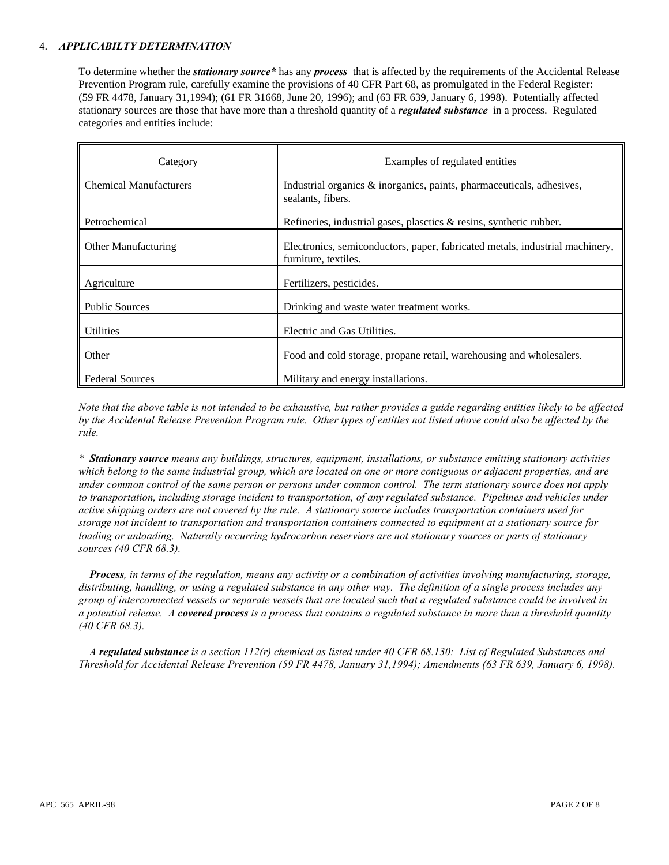### 4. *APPLICABILTY DETERMINATION*

To determine whether the *stationary source\** has any *process* that is affected by the requirements of the Accidental Release Prevention Program rule, carefully examine the provisions of 40 CFR Part 68, as promulgated in the Federal Register: (59 FR 4478, January 31,1994); (61 FR 31668, June 20, 1996); and (63 FR 639, January 6, 1998). Potentially affected stationary sources are those that have more than a threshold quantity of a *regulated substance* in a process. Regulated categories and entities include:

| Category                      | Examples of regulated entities                                                                       |
|-------------------------------|------------------------------------------------------------------------------------------------------|
| <b>Chemical Manufacturers</b> | Industrial organics & inorganics, paints, pharmaceuticals, adhesives,<br>sealants, fibers.           |
| Petrochemical                 | Refineries, industrial gases, plasetics $\&$ resins, synthetic rubber.                               |
| Other Manufacturing           | Electronics, semiconductors, paper, fabricated metals, industrial machinery,<br>furniture, textiles. |
| Agriculture                   | Fertilizers, pesticides.                                                                             |
| <b>Public Sources</b>         | Drinking and waste water treatment works.                                                            |
| <b>Utilities</b>              | Electric and Gas Utilities.                                                                          |
| Other                         | Food and cold storage, propane retail, warehousing and wholesalers.                                  |
| <b>Federal Sources</b>        | Military and energy installations.                                                                   |

*Note that the above table is not intended to be exhaustive, but rather provides a guide regarding entities likely to be affected by the Accidental Release Prevention Program rule. Other types of entities not listed above could also be affected by the rule.*

*\* Stationary source means any buildings, structures, equipment, installations, or substance emitting stationary activities which belong to the same industrial group, which are located on one or more contiguous or adjacent properties, and are under common control of the same person or persons under common control. The term stationary source does not apply to transportation, including storage incident to transportation, of any regulated substance. Pipelines and vehicles under active shipping orders are not covered by the rule. A stationary source includes transportation containers used for storage not incident to transportation and transportation containers connected to equipment at a stationary source for loading or unloading. Naturally occurring hydrocarbon reserviors are not stationary sources or parts of stationary sources (40 CFR 68.3).*

*† Process, in terms of the regulation, means any activity or a combination of activities involving manufacturing, storage, distributing, handling, or using a regulated substance in any other way. The definition of a single process includes any group of interconnected vessels or separate vessels that are located such that a regulated substance could be involved in a potential release. A covered process is a process that contains a regulated substance in more than a threshold quantity (40 CFR 68.3).*

*‡ A regulated substance is a section 112(r) chemical as listed under 40 CFR 68.130: List of Regulated Substances and Threshold for Accidental Release Prevention (59 FR 4478, January 31,1994); Amendments (63 FR 639, January 6, 1998).*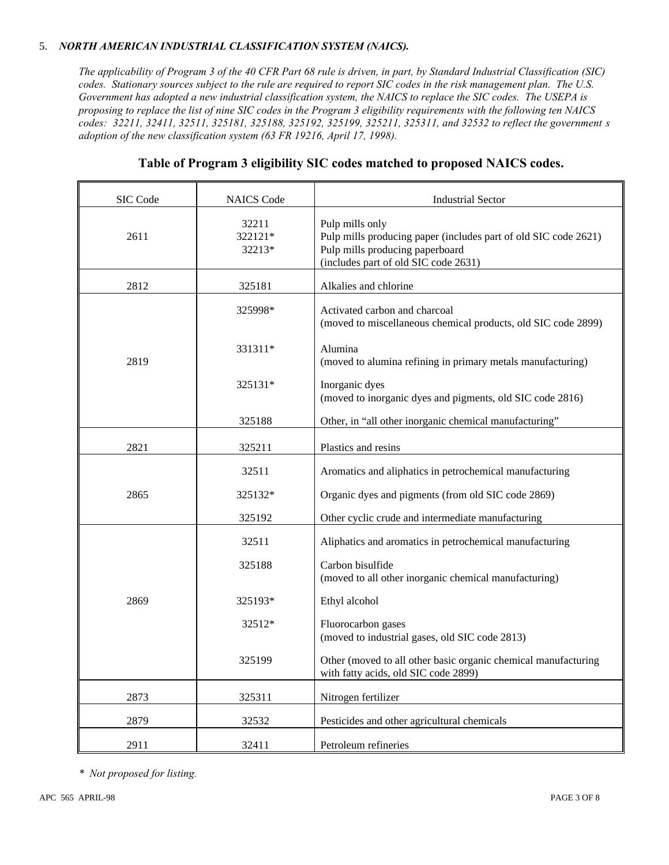## 5. *NORTH AMERICAN INDUSTRIAL CLASSIFICATION SYSTEM (NAICS).*

*The applicability of Program 3 of the 40 CFR Part 68 rule is driven, in part, by Standard Industrial Classification (SIC) codes. Stationary sources subject to the rule are required to report SIC codes in the risk management plan. The U.S. Government has adopted a new industrial classification system, the NAICS to replace the SIC codes. The USEPA is proposing to replace the list of nine SIC codes in the Program 3 eligibility requirements with the following ten NAICS codes: 32211, 32411, 32511, 325181, 325188, 325192, 325199, 325211, 325311, and 32532 to reflect the government's adoption of the new classification system (63 FR 19216, April 17, 1998).*

| SIC Code | <b>NAICS</b> Code          | <b>Industrial Sector</b>                                                                                                                                      |
|----------|----------------------------|---------------------------------------------------------------------------------------------------------------------------------------------------------------|
| 2611     | 32211<br>322121*<br>32213* | Pulp mills only<br>Pulp mills producing paper (includes part of old SIC code 2621)<br>Pulp mills producing paperboard<br>(includes part of old SIC code 2631) |
| 2812     | 325181                     | Alkalies and chlorine                                                                                                                                         |
|          | 325998*                    | Activated carbon and charcoal<br>(moved to miscellaneous chemical products, old SIC code 2899)                                                                |
| 2819     | 331311*                    | Alumina<br>(moved to alumina refining in primary metals manufacturing)                                                                                        |
|          | 325131*                    | Inorganic dyes<br>(moved to inorganic dyes and pigments, old SIC code 2816)                                                                                   |
|          | 325188                     | Other, in "all other inorganic chemical manufacturing"                                                                                                        |
| 2821     | 325211                     | Plastics and resins                                                                                                                                           |
|          | 32511                      | Aromatics and aliphatics in petrochemical manufacturing                                                                                                       |
| 2865     | 325132*                    | Organic dyes and pigments (from old SIC code 2869)                                                                                                            |
|          | 325192                     | Other cyclic crude and intermediate manufacturing                                                                                                             |
|          | 32511                      | Aliphatics and aromatics in petrochemical manufacturing                                                                                                       |
|          | 325188                     | Carbon bisulfide<br>(moved to all other inorganic chemical manufacturing)                                                                                     |
| 2869     | 325193*                    | Ethyl alcohol                                                                                                                                                 |
|          | 32512*                     | Fluorocarbon gases<br>(moved to industrial gases, old SIC code 2813)                                                                                          |
|          | 325199                     | Other (moved to all other basic organic chemical manufacturing<br>with fatty acids, old SIC code 2899)                                                        |
| 2873     | 325311                     | Nitrogen fertilizer                                                                                                                                           |
| 2879     | 32532                      | Pesticides and other agricultural chemicals                                                                                                                   |
| 2911     | 32411                      | Petroleum refineries                                                                                                                                          |

# **Table of Program 3 eligibility SIC codes matched to proposed NAICS codes.**

*\* Not proposed for listing.*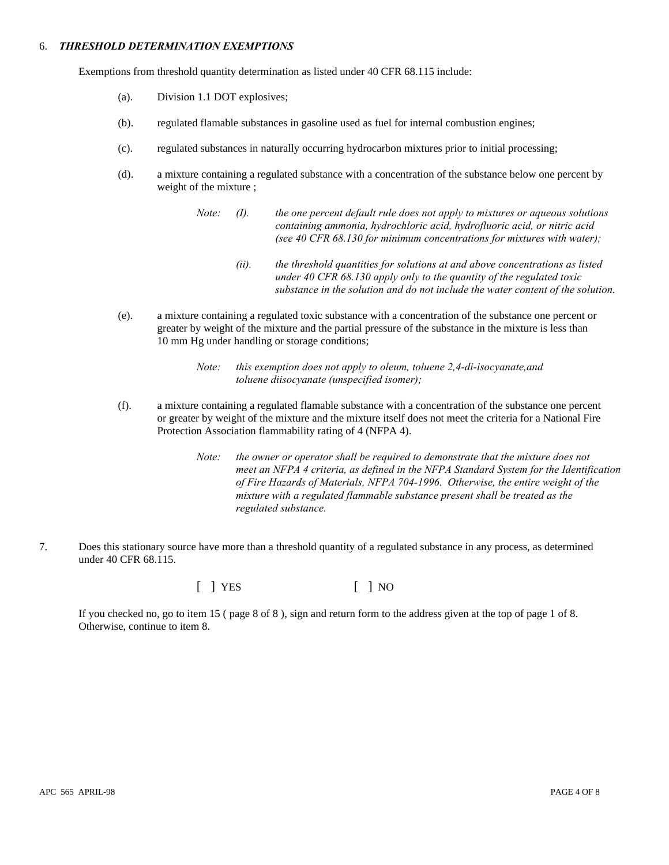#### 6. *THRESHOLD DETERMINATION EXEMPTIONS*

Exemptions from threshold quantity determination as listed under 40 CFR 68.115 include:

- (a). Division 1.1 DOT explosives;
- (b). regulated flamable substances in gasoline used as fuel for internal combustion engines;
- (c). regulated substances in naturally occurring hydrocarbon mixtures prior to initial processing;
- (d). a mixture containing a regulated substance with a concentration of the substance below one percent by weight of the mixture ;
	- *Note: (I). the one percent default rule does not apply to mixtures or aqueous solutions containing ammonia, hydrochloric acid, hydrofluoric acid, or nitric acid (see 40 CFR 68.130 for minimum concentrations for mixtures with water);*
		- *(ii). the threshold quantities for solutions at and above concentrations as listed under 40 CFR 68.130 apply only to the quantity of the regulated toxic substance in the solution and do not include the water content of the solution.*
- (e). a mixture containing a regulated toxic substance with a concentration of the substance one percent or greater by weight of the mixture and the partial pressure of the substance in the mixture is less than 10 mm Hg under handling or storage conditions;

- (f). a mixture containing a regulated flamable substance with a concentration of the substance one percent or greater by weight of the mixture and the mixture itself does not meet the criteria for a National Fire Protection Association flammability rating of 4 (NFPA 4).
	- *Note: the owner or operator shall be required to demonstrate that the mixture does not meet an NFPA 4 criteria, as defined in the NFPA Standard System for the Identification of Fire Hazards of Materials, NFPA 704-1996. Otherwise, the entire weight of the mixture with a regulated flammable substance present shall be treated as the regulated substance.*
- 7. Does this stationary source have more than a threshold quantity of a regulated substance in any process, as determined under 40 CFR 68.115.

 $\begin{bmatrix} \end{bmatrix}$  YES  $\begin{bmatrix} \end{bmatrix}$  NO

If you checked no, go to item 15 ( page 8 of 8 ), sign and return form to the address given at the top of page 1 of 8. Otherwise, continue to item 8.

*Note: this exemption does not apply to oleum, toluene 2,4-di-isocyanate,and toluene diisocyanate (unspecified isomer);*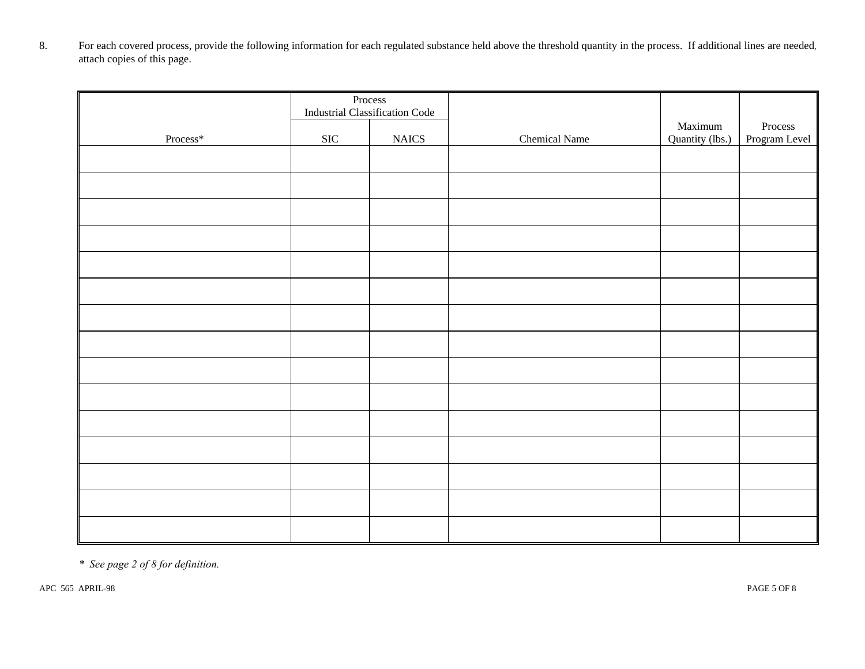8. For each covered process, provide the following information for each regulated substance held above the threshold quantity in the process. If additional lines are needed*,*  attach copies of this page.

|                      | Process<br><b>Industrial Classification Code</b> |             |               |                            |                          |
|----------------------|--------------------------------------------------|-------------|---------------|----------------------------|--------------------------|
| $\mathsf{Process}^*$ | $\rm SIC$                                        | $\rm NALCS$ | Chemical Name | Maximum<br>Quantity (lbs.) | Process<br>Program Level |
|                      |                                                  |             |               |                            |                          |
|                      |                                                  |             |               |                            |                          |
|                      |                                                  |             |               |                            |                          |
|                      |                                                  |             |               |                            |                          |
|                      |                                                  |             |               |                            |                          |
|                      |                                                  |             |               |                            |                          |
|                      |                                                  |             |               |                            |                          |
|                      |                                                  |             |               |                            |                          |
|                      |                                                  |             |               |                            |                          |
|                      |                                                  |             |               |                            |                          |
|                      |                                                  |             |               |                            |                          |
|                      |                                                  |             |               |                            |                          |
|                      |                                                  |             |               |                            |                          |
|                      |                                                  |             |               |                            |                          |
|                      |                                                  |             |               |                            |                          |

*\* See page 2 of 8 for definition.*

APC 565 APRIL-98 PAGE 5 OF 8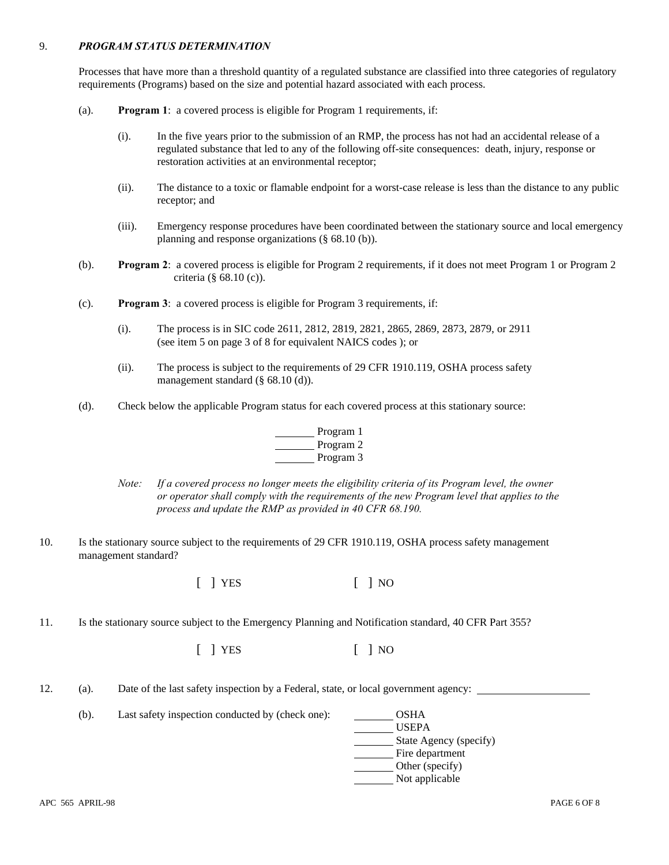### 9. *PROGRAM STATUS DETERMINATION*

Processes that have more than a threshold quantity of a regulated substance are classified into three categories of regulatory requirements (Programs) based on the size and potential hazard associated with each process.

- (a). **Program 1**: a covered process is eligible for Program 1 requirements, if:
	- (i). In the five years prior to the submission of an RMP, the process has not had an accidental release of a regulated substance that led to any of the following off-site consequences: death, injury, response or restoration activities at an environmental receptor;
	- (ii). The distance to a toxic or flamable endpoint for a worst-case release is less than the distance to any public receptor; and
	- (iii). Emergency response procedures have been coordinated between the stationary source and local emergency planning and response organizations (§ 68.10 (b)).
- (b). **Program 2**: a covered process is eligible for Program 2 requirements, if it does not meet Program 1 or Program 2 criteria (§ 68.10 (c)).
- (c). **Program 3**: a covered process is eligible for Program 3 requirements, if:
	- (i). The process is in SIC code 2611, 2812, 2819, 2821, 2865, 2869, 2873, 2879, or 2911 (see item 5 on page 3 of 8 for equivalent NAICS codes ); or
	- (ii). The process is subject to the requirements of 29 CFR 1910.119, OSHA process safety management standard (§ 68.10 (d)).
- (d). Check below the applicable Program status for each covered process at this stationary source:

| Program 1 |
|-----------|
| Program 2 |
| Program 3 |

- *Note: If a covered process no longer meets the eligibility criteria of its Program level, the owner or operator shall comply with the requirements of the new Program level that applies to the process and update the RMP as provided in 40 CFR 68.190.*
- 10. Is the stationary source subject to the requirements of 29 CFR 1910.119, OSHA process safety management management standard?

[ ] YES [ ] NO

11. Is the stationary source subject to the Emergency Planning and Notification standard, 40 CFR Part 355?

[ ] YES [ ] NO

12. (a). Date of the last safety inspection by a Federal, state, or local government agency:

(b). Last safety inspection conducted by (check one): OSHA

- USEPA State Agency (specify) Fire department **C**Other (specify)
	- Not applicable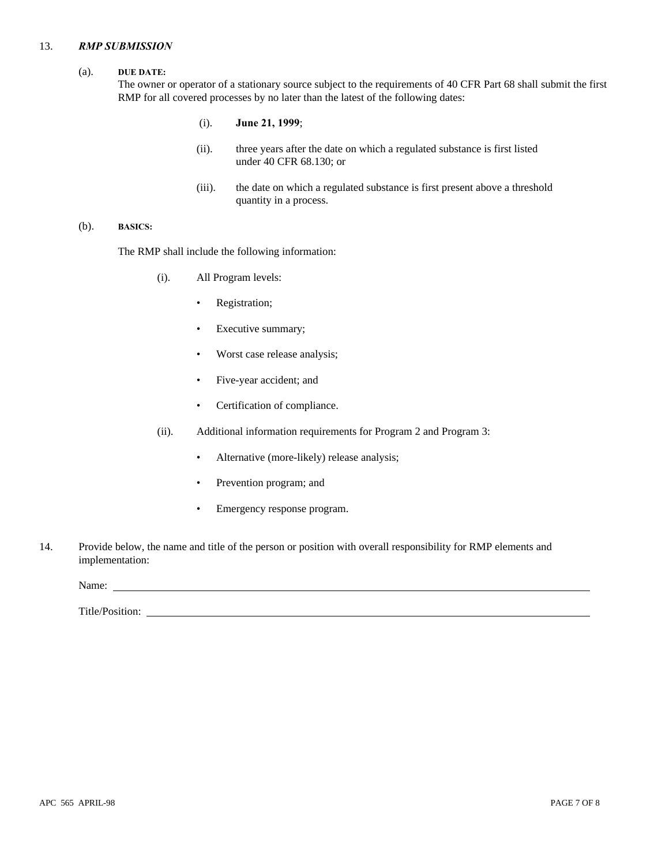#### 13. *RMP SUBMISSION*

#### (a). **DUE DATE:**

The owner or operator of a stationary source subject to the requirements of 40 CFR Part 68 shall submit the first RMP for all covered processes by no later than the latest of the following dates:

- (i). **June 21, 1999**;
- (ii). three years after the date on which a regulated substance is first listed under 40 CFR 68.130; or
- (iii). the date on which a regulated substance is first present above a threshold quantity in a process.

### (b). **BASICS:**

The RMP shall include the following information:

- (i). All Program levels:
	- Registration;
	- Executive summary;
	- Worst case release analysis;
	- Five-year accident; and
	- Certification of compliance.
- (ii). Additional information requirements for Program 2 and Program 3:
	- Alternative (more-likely) release analysis;
	- Prevention program; and
	- Emergency response program.
- 14. Provide below, the name and title of the person or position with overall responsibility for RMP elements and implementation:

Name:

Title/Position: